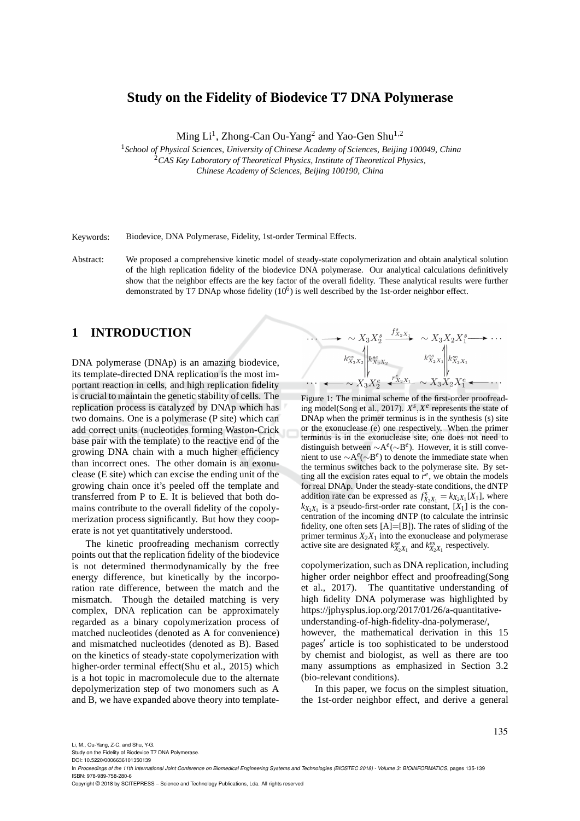## **Study on the Fidelity of Biodevice T7 DNA Polymerase**

Ming Li<sup>1</sup>, Zhong-Can Ou-Yang<sup>2</sup> and Yao-Gen Shu<sup>1,2</sup>

<sup>1</sup>*School of Physical Sciences, University of Chinese Academy of Sciences, Beijing 100049, China* <sup>2</sup>*CAS Key Laboratory of Theoretical Physics, Institute of Theoretical Physics, Chinese Academy of Sciences, Beijing 100190, China*

Keywords: Biodevice, DNA Polymerase, Fidelity, 1st-order Terminal Effects.

Abstract: We proposed a comprehensive kinetic model of steady-state copolymerization and obtain analytical solution of the high replication fidelity of the biodevice DNA polymerase. Our analytical calculations definitively show that the neighbor effects are the key factor of the overall fidelity. These analytical results were further demonstrated by T7 DNAp whose fidelity  $(10^6)$  is well described by the 1st-order neighbor effect.

## **1 INTRODUCTION**

DNA polymerase (DNAp) is an amazing biodevice, its template-directed DNA replication is the most important reaction in cells, and high replication fidelity is crucial to maintain the genetic stability of cells. The replication process is catalyzed by DNAp which has two domains. One is a polymerase (P site) which can add correct units (nucleotides forming Waston-Crick base pair with the template) to the reactive end of the growing DNA chain with a much higher efficiency than incorrect ones. The other domain is an exonuclease (E site) which can excise the ending unit of the growing chain once it's peeled off the template and transferred from P to E. It is believed that both domains contribute to the overall fidelity of the copolymerization process significantly. But how they cooperate is not yet quantitatively understood.

The kinetic proofreading mechanism correctly points out that the replication fidelity of the biodevice is not determined thermodynamically by the free energy difference, but kinetically by the incorporation rate difference, between the match and the mismatch. Though the detailed matching is very complex, DNA replication can be approximately regarded as a binary copolymerization process of matched nucleotides (denoted as A for convenience) and mismatched nucleotides (denoted as B). Based on the kinetics of steady-state copolymerization with higher-order terminal effect(Shu et al., 2015) which is a hot topic in macromolecule due to the alternate depolymerization step of two monomers such as A and B, we have expanded above theory into template-



Figure 1: The minimal scheme of the first-order proofreading model(Song et al., 2017). *X s* ,*X e* represents the state of DNAp when the primer terminus is in the synthesis (s) site or the exonuclease (e) one respectively. When the primer terminus is in the exonuclease site, one does not need to distinguish between ∼A *e* (∼B *e* ). However, it is still convenient to use ∼A *e* (∼B *e* ) to denote the immediate state when the terminus switches back to the polymerase site. By setting all the excision rates equal to  $r^e$ , we obtain the models for real DNAp. Under the steady-state conditions, the dNTP addition rate can be expressed as  $f_{X_2X_1}^s = k_{X_2X_1}[X_1]$ , where  $k_{X_2X_1}$  is a pseudo-first-order rate constant, [X<sub>1</sub>] is the concentration of the incoming dNTP (to calculate the intrinsic fidelity, one often sets  $[A]=[B]$ ). The rates of sliding of the primer terminus  $X_2X_1$  into the exonuclease and polymerase active site are designated  $k_{X_2X_1}^{se}$  and  $k_{X_2X_1}^{es}$  respectively.

copolymerization, such as DNA replication, including higher order neighbor effect and proofreading(Song et al., 2017). The quantitative understanding of high fidelity DNA polymerase was highlighted by https://jphysplus.iop.org/2017/01/26/a-quantitativeunderstanding-of-high-fidelity-dna-polymerase/, however, the mathematical derivation in this 15 pages′ article is too sophisticated to be understood by chemist and biologist, as well as there are too many assumptions as emphasized in Section 3.2 (bio-relevant conditions).

In this paper, we focus on the simplest situation, the 1st-order neighbor effect, and derive a general

135

Li, M., Ou-Yang, Z-C. and Shu, Y-G.

Study on the Fidelity of Biodevice T7 DNA Polymerase.

DOI: 10.5220/0006636101350139

In Proceedings of the 11th International Joint Conference on Biomedical Engineering Systems and Technologies (BIOSTEC 2018) - Volume 3: BIOINFORMATICS, pages 135-139 ISBN: 978-989-758-280-6

Copyright © 2018 by SCITEPRESS – Science and Technology Publications, Lda. All rights reserved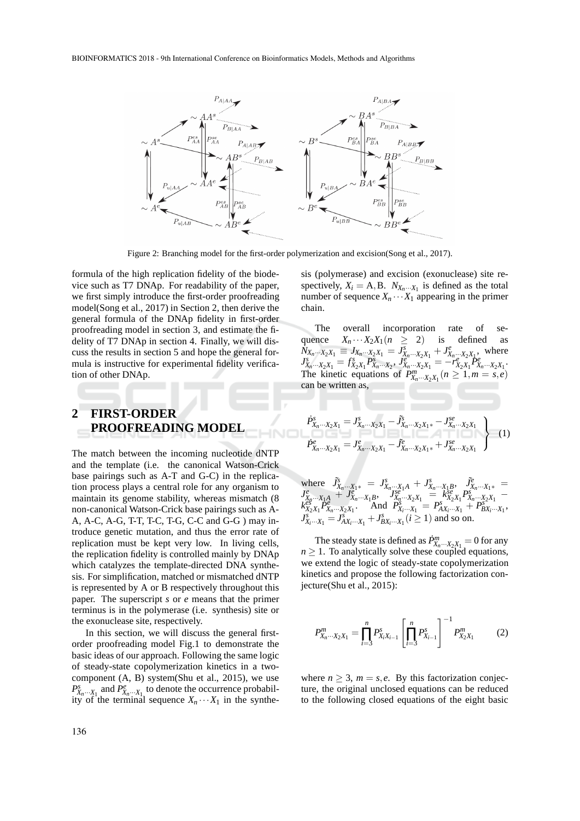

Figure 2: Branching model for the first-order polymerization and excision(Song et al., 2017).

formula of the high replication fidelity of the biodevice such as T7 DNAp. For readability of the paper, we first simply introduce the first-order proofreading model(Song et al., 2017) in Section 2, then derive the general formula of the DNAp fidelity in first-order proofreading model in section 3, and estimate the fidelity of T7 DNAp in section 4. Finally, we will discuss the results in section 5 and hope the general formula is instructive for experimental fidelity verification of other DNAp.

# **2 FIRST-ORDER PROOFREADING MODEL**

The match between the incoming nucleotide dNTP and the template (i.e. the canonical Watson-Crick base pairings such as A-T and G-C) in the replication process plays a central role for any organism to maintain its genome stability, whereas mismatch (8 non-canonical Watson-Crick base pairings such as A-A, A-C, A-G, T-T, T-C, T-G, C-C and G-G ) may introduce genetic mutation, and thus the error rate of replication must be kept very low. In living cells, the replication fidelity is controlled mainly by DNAp which catalyzes the template-directed DNA synthesis. For simplification, matched or mismatched dNTP is represented by A or B respectively throughout this paper. The superscript *s* or *e* means that the primer terminus is in the polymerase (i.e. synthesis) site or the exonuclease site, respectively.

In this section, we will discuss the general firstorder proofreading model Fig.1 to demonstrate the basic ideas of our approach. Following the same logic of steady-state copolymerization kinetics in a twocomponent (A, B) system(Shu et al., 2015), we use  $P_{X_n\cdots X_1}^s$  and  $P_{X_n\cdots X_1}^e$  to denote the occurrence probability of the terminal sequence  $X_n \cdots X_1$  in the synthe-

sis (polymerase) and excision (exonuclease) site respectively,  $X_i = A, B, N_{X_n \cdots X_1}$  is defined as the total number of sequence  $X_n \cdots X_1$  appearing in the primer chain.

The overall incorporation rate of sequence  $X_n \cdots X_2 X_1 (n \geq 2)$  is defined as  $\begin{array}{l} \bar{N}_{X_n\cdots X_2X_1} \equiv J_{X_n\cdots X_2X_1} = J_{X_n\cdots X_2X_1}^s + J_{X_n\cdots X_2X_1}^e \ J_{X_n\cdots X_2X_1}^s = f_{X_2X_1}^s P_{X_n\cdots X_2}^s, J_{X_n\cdots X_2X_1}^s = -r_{X_2X_1}^s P_{X_1}^e \end{array}$ where  $X_n \cdots X_2 X_1$ The kinetic equations of  $P_{X_n \cdots X_2 X_1}^m$   $(n \ge 1, m = s, e)$ can be written as,

$$
\left\{\n\begin{aligned}\n\dot{P}_{X_n\cdots X_2X_1}^s &= J_{X_n\cdots X_2X_1}^s - \tilde{J}_{X_n\cdots X_2X_1*}^s - J_{X_n\cdots X_2X_1}^s \\
\dot{P}_{X_n\cdots X_2X_1}^e &= J_{X_n\cdots X_2X_1}^e - \tilde{J}_{X_n\cdots X_2X_1*}^e + J_{X_n\cdots X_2X_1}^s\n\end{aligned}\n\right\}\n\tag{1}
$$

where 
$$
\tilde{J}_{X_n...X_1*}^s = J_{X_n...X_1A}^s + J_{X_n...X_1B}^s
$$
,  $\tilde{J}_{X_n...X_1*}^e = J_{X_n...X_1A}^e + J_{X_n...X_1B}^e$ ,  $J_{X_n...X_2X_1}^se_{X_2X_1} - K_{X_2X_1}^se_{X_2X_1} - K_{X_2X_1}^se_{X_2X_1} - K_{X_2X_1}^se_{X_2X_1} - \text{And } P_{X_1...X_1}^s = P_{AX_1...X_1}^s + P_{BX_1...X_1}^e$ ,  $J_{X_i...X_1}^e = J_{AX_i...X_1}^e + J_{BX_i...X_1}^e$ 

The steady state is defined as  $\dot{P}^m_{X_n\cdots X_2X_1} = 0$  for any  $n \geq 1$ . To analytically solve these coupled equations, we extend the logic of steady-state copolymerization kinetics and propose the following factorization conjecture(Shu et al., 2015):

$$
P_{X_n\cdots X_2X_1}^m = \prod_{i=3}^n P_{X_iX_{i-1}}^s \left[ \prod_{i=3}^n P_{X_{i-1}}^s \right]^{-1} P_{X_2X_1}^m \tag{2}
$$

where  $n \geq 3$ ,  $m = s$ , *e*. By this factorization conjecture, the original unclosed equations can be reduced to the following closed equations of the eight basic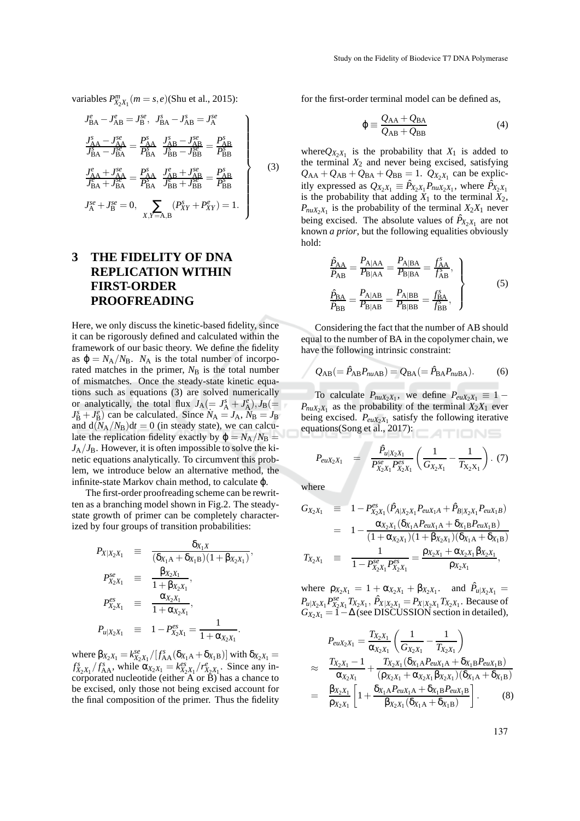variables  $P_{X_2X_1}^m(m = s, e)$ (Shu et al., 2015):

$$
J_{BA}^{e} - J_{AB}^{e} = J_{B}^{se}, \quad J_{BA}^{s} - J_{AB}^{se} = J_{A}^{se}
$$
  
\n
$$
\frac{J_{AA}^{s} - J_{AA}^{se}}{J_{BA}^{s} - J_{BA}^{se}} = \frac{P_{AA}^{s}}{P_{BA}^{s}} \frac{J_{AB}^{s} - J_{AB}^{se}}{J_{BB}^{s} - J_{BB}^{se}} = \frac{P_{AB}^{s}}{P_{BB}^{s}}
$$
  
\n
$$
\frac{J_{AA}^{e} + J_{AA}^{se}}{J_{BA}^{e} + J_{BA}^{se}} = \frac{P_{AA}^{s}}{P_{BA}^{s}} \frac{J_{AB}^{e} + J_{AB}^{se}}{J_{BB}^{e} + J_{BB}^{se}} = \frac{P_{AB}^{s}}{P_{BB}^{s}}
$$
  
\n
$$
J_{A}^{se} + J_{B}^{se} = 0, \quad \sum_{X,Y=A,B} (P_{XY}^{s} + P_{XY}^{e}) = 1.
$$
 (3)

# **3 THE FIDELITY OF DNA REPLICATION WITHIN FIRST-ORDER PROOFREADING**

Here, we only discuss the kinetic-based fidelity, since it can be rigorously defined and calculated within the framework of our basic theory. We define the fidelity as  $\varphi = N_A/N_B$ .  $N_A$  is the total number of incorporated matches in the primer,  $N<sub>B</sub>$  is the total number of mismatches. Once the steady-state kinetic equations such as equations (3) are solved numerically or analytically, the total flux  $J_A (= J_A^s + J_A^e)$ ,  $J_B (=$  $J_B^s + J_B^e$ ) can be calculated. Since  $N_A = J_A$ ,  $N_B = J_B$ and  $d(N_A/N_B)dt = 0$  (in steady state), we can calculate the replication fidelity exactly by  $\varphi = N_A/N_B =$  $J_A/J_B$ . However, it is often impossible to solve the kinetic equations analytically. To circumvent this problem, we introduce below an alternative method, the infinite-state Markov chain method, to calculate **ω**.

The first-order proofreading scheme can be rewritten as a branching model shown in Fig.2. The steadystate growth of primer can be completely characterized by four groups of transition probabilities:

$$
P_{X|X_2X_1} = \frac{\delta_{X_1X}}{(\delta_{X_1A} + \delta_{X_1B})(1 + \beta_{X_2X_1})},
$$
  
\n
$$
P_{X_2X_1}^{se} = \frac{\beta_{X_2X_1}}{1 + \beta_{X_2X_1}},
$$
  
\n
$$
P_{X_2X_1}^{es} = \frac{\alpha_{X_2X_1}}{1 + \alpha_{X_2X_1}},
$$
  
\n
$$
P_{u|X_2X_1} = 1 - P_{X_2X_1}^{es} = \frac{1}{1 + \alpha_{X_2X_1}}.
$$

where  $\beta_{X_2X_1} = k_{X_2X_1}^{se} / [f_{AA}^s(\delta_{X_1A} + \delta_{X_1B})]$  with  $\delta_{X_2X_1} =$  $f_{X_2X_1}^s/f_{AA}^s$ , while  $\alpha_{X_2X_1} = k_{X_2X_1}^{es}/r_{X_2X_1}^e$ . Since any incorporated nucleotide (either  $\overrightarrow{A}$  or  $\overrightarrow{B}$ ) has a chance to be excised, only those not being excised account for the final composition of the primer. Thus the fidelity

for the first-order terminal model can be defined as,

$$
\varphi \equiv \frac{Q_{AA} + Q_{BA}}{Q_{AB} + Q_{BB}} \tag{4}
$$

where $Q_{X_2X_1}$  is the probability that  $X_1$  is added to the terminal  $X_2$  and never being excised, satisfying  $Q_{\text{AA}} + Q_{\text{AB}} + Q_{\text{BA}} + Q_{\text{BB}} = 1$ .  $Q_{X_2 X_1}$  can be explicitly expressed as  $Q_{X_2X_1} \equiv \hat{P}_{X_2X_1}P_{nuX_2X_1}$ , where  $\hat{P}_{X_2X_1}$ is the probability that adding  $\ddot{X}_1$  to the terminal  $\ddot{X}_2$ ,  $P_{nuX_2X_1}$  is the probability of the terminal  $X_2X_1$  never being excised. The absolute values of  $\hat{P}_{X_2X_1}$  are not known *a prior*, but the following equalities obviously hold:

$$
\frac{\hat{P}_{AA}}{\hat{P}_{AB}} = \frac{P_{A|AA}}{P_{B|AA}} = \frac{P_{A|BA}}{P_{B|BA}} = \frac{f_{AA}^s}{f_{AB}^s},
$$
\n
$$
\frac{\hat{P}_{BA}}{\hat{P}_{BB}} = \frac{P_{A|AB}}{P_{B|AB}} = \frac{P_{A|BB}}{P_{B|BB}} = \frac{f_{BA}^s}{f_{BB}^s},
$$
\n(5)

Considering the fact that the number of AB should equal to the number of BA in the copolymer chain, we have the following intrinsic constraint:

$$
Q_{AB} (= \hat{P}_{AB} P_{nuAB}) = Q_{BA} (= \hat{P}_{BA} P_{nuBA}).
$$
 (6)

To calculate  $P_{nuX_2X_1}$ , we define  $P_{nuX_2X_1} \equiv 1 P_{nuX_2X_1}$  as the probability of the terminal  $X_2X_1$  ever being excised.  $P_{\text{euX}_2X_1}$  satisfy the following iterative equations(Song et al., 2017): TIONS

$$
P_{euX_2X_1} = \frac{\hat{P}_{u|X_2X_1}}{P_{X_2X_1}^{se} P_{X_2X_1}^{es}} \left(\frac{1}{G_{X_2X_1}} - \frac{1}{T_{X_2X_1}}\right). (7)
$$

where

$$
G_{X_2X_1} \equiv 1 - P_{X_2X_1}^{es}(\hat{P}_{A|X_2X_1}P_{euX_1A} + \hat{P}_{B|X_2X_1}P_{euX_1B})
$$
  
\n
$$
= 1 - \frac{\alpha_{X_2X_1}(\delta_{X_1A}P_{euX_1A} + \delta_{X_1B}P_{euX_1B})}{(1 + \alpha_{X_2X_1})(1 + \beta_{X_2X_1})(\delta_{X_1A} + \delta_{X_1B})}
$$
  
\n
$$
T_{X_2X_1} \equiv \frac{1}{1 - P_{X_2X_1}^{se}P_{X_2X_1}^{es}} = \frac{\rho_{X_2X_1} + \alpha_{X_2X_1}\beta_{X_2X_1}}{\rho_{X_2X_1}},
$$

where  $\rho_{X_2X_1} = 1 + \alpha_{X_2X_1} + \beta_{X_2X_1}$ . and  $\hat{P}_{u|X_2X_1} =$  $P_{u|X_2X_1} P_{X_2X_1}^{se} T_{X_2X_1}$ ,  $\hat{P}_{X|X_2X_1} = P_{X|X_2X_1} T_{X_2X_1}$ . Because of  $G_{X_2X_1} = \hat{I} - \Delta$  (see DISCUSSION section in detailed),

$$
P_{euX_2X_1} = \frac{T_{X_2X_1}}{\alpha_{X_2X_1}} \left( \frac{1}{G_{X_2X_1}} - \frac{1}{T_{X_2X_1}} \right)
$$
  
\n
$$
\approx \frac{T_{X_2X_1} - 1}{\alpha_{X_2X_1}} + \frac{T_{X_2X_1} (\delta_{X_1A} P_{euX_1A} + \delta_{X_1B} P_{euX_1B})}{(\rho_{X_2X_1} + \alpha_{X_2X_1} \beta_{X_2X_1})(\delta_{X_1A} + \delta_{X_1B})}
$$
  
\n
$$
= \frac{\beta_{X_2X_1}}{\rho_{X_2X_1}} \left[ 1 + \frac{\delta_{X_1A} P_{euX_1A} + \delta_{X_1B} P_{euX_1B}}{\beta_{X_2X_1} (\delta_{X_1A} + \delta_{X_1B})} \right].
$$
 (8)

137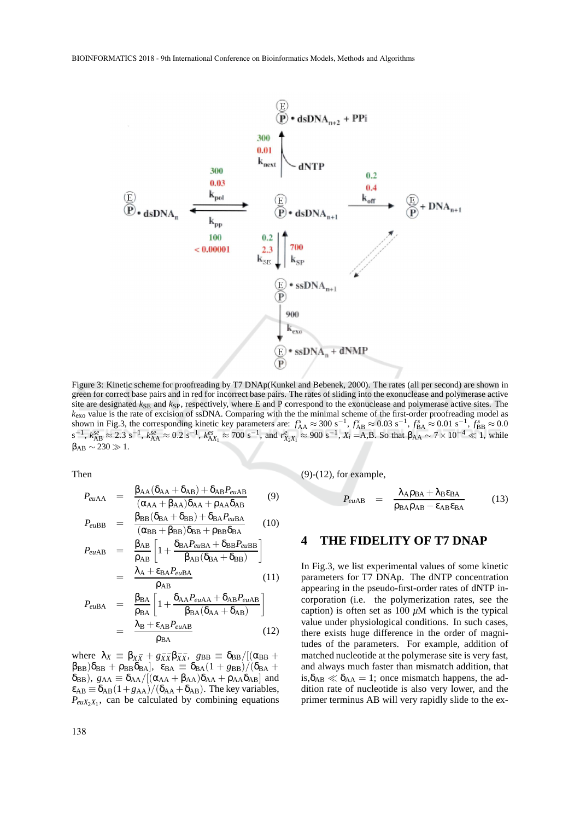

Figure 3: Kinetic scheme for proofreading by T7 DNAp(Kunkel and Bebenek, 2000). The rates (all per second) are shown in green for correct base pairs and in red for incorrect base pairs. The rates of sliding into the exonuclease and polymerase active site are designated  $k_{\text{SE}}$  and  $k_{\text{SP}}$ , respectively, where E and P correspond to the exonuclease and polymerase active sites. The *k*exo value is the rate of excision of ssDNA. Comparing with the the minimal scheme of the first-order proofreading model as shown in Fig.3, the corresponding kinetic key parameters are:  $f_{\rm AA}^s \approx 300 \text{ s}^{-1}$ ,  $f_{\rm AB}^s \approx 0.03 \text{ s}^{-1}$ ,  $f_{\rm BA}^s \approx 0.01 \text{ s}^{-1}$ ,  $f_{\rm BB}^s \approx 0.0$  $s^{-1}$ ,  $k_{AB}^{se} \approx 2.3 \text{ s}^{-1}$ ,  $k_{AA}^{se} \approx 0.2 \text{ s}^{-1}$ ,  $k_{AX_1}^{es} \approx 700 \text{ s}^{-1}$ , and  $r_{X_2X_1}^{e} \approx 900 \text{ s}^{-1}$ ,  $X_i = A, B$ . So that  $\beta_{AA} \sim 7 \times 10^{-4} \ll 1$ , while  $\beta_{AB} \sim 230 \gg 1.$ 

Then

$$
P_{euAA} = \frac{\beta_{AA}(\delta_{AA} + \delta_{AB}) + \delta_{AB}P_{euAB}}{(\alpha_{AA} + \beta_{AA})\delta_{AA} + \rho_{AA}\delta_{AB}}
$$
(9)

$$
P_{euBB} = \frac{\beta_{BB}(\delta_{BA} + \delta_{BB}) + \delta_{BA}P_{euBA}}{(\alpha_{BB} + \beta_{BB})\delta_{BB} + \rho_{BB}\delta_{BA}}
$$
(10)

$$
P_{euAB} = \frac{\beta_{AB}}{\rho_{AB}} \left[ 1 + \frac{\delta_{BA} P_{euBA} + \delta_{BB} P_{euBB}}{\beta_{AB} (\delta_{BA} + \delta_{BB})} \right]
$$

$$
= \frac{\lambda_A + \epsilon_{BA} P_{euBA}}{\rho_{AB}}
$$
(11)

$$
P_{euBA} = \frac{\beta_{BA}}{\rho_{BA}} \left[ 1 + \frac{\delta_{AA} P_{euAA} + \delta_{AB} P_{euAB}}{\beta_{BA} (\delta_{AA} + \delta_{AB})} \right]
$$

$$
= \frac{\lambda_B + \epsilon_{AB} P_{euAB}}{\rho_{BA}}
$$
(12)

where  $\lambda_X \equiv \beta_{X\bar{X}} + g_{\bar{X}\bar{X}}\beta_{\bar{X}\bar{X}}$ ,  $g_{BB} \equiv \delta_{BB}/[(\alpha_{BB} + \alpha_{BB})$  $\beta_{\text{BB}}(\delta_{\text{BB}} + \rho_{\text{BB}}\delta_{\text{BA}}), \ \ \varepsilon_{\text{BA}} \equiv \delta_{\text{BA}}(1 + g_{\text{BB}})/(\delta_{\text{BA}} + g_{\text{BA}})$  $\delta_{\text{BB}}$ ),  $g_{\text{AA}} \equiv \delta_{\text{AA}}/[(\alpha_{\text{AA}} + \beta_{\text{AA}})\delta_{\text{AA}} + \rho_{\text{AA}}\delta_{\text{AB}}]$  and  $\varepsilon_{AB} \equiv \delta_{AB} (1 + g_{AA})/(\delta_{AA} + \delta_{AB})$ . The key variables,  $P_{\text{euX}_2X_1}$ , can be calculated by combining equations

(9)-(12), for example,

$$
P_{euAB} = \frac{\lambda_A \rho_{BA} + \lambda_B \varepsilon_{BA}}{\rho_{BA} \rho_{AB} - \varepsilon_{AB} \varepsilon_{BA}}
$$
(13)

#### **4 THE FIDELITY OF T7 DNAP**

In Fig.3, we list experimental values of some kinetic parameters for T7 DNAp. The dNTP concentration appearing in the pseudo-first-order rates of dNTP incorporation (i.e. the polymerization rates, see the caption) is often set as  $100 \mu M$  which is the typical value under physiological conditions. In such cases, there exists huge difference in the order of magnitudes of the parameters. For example, addition of matched nucleotide at the polymerase site is very fast, and always much faster than mismatch addition, that is,  $\delta_{AB} \ll \delta_{AA} = 1$ ; once mismatch happens, the addition rate of nucleotide is also very lower, and the primer terminus AB will very rapidly slide to the ex